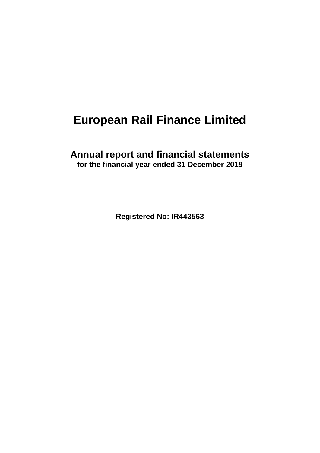# **Annual report and financial statements**

**for the financial year ended 31 December 2019** 

**Registered No: IR443563**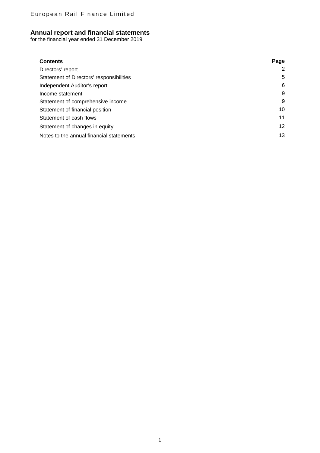# **Annual report and financial statements**

for the financial year ended 31 December 2019

| <b>Contents</b>                          | Page |
|------------------------------------------|------|
| Directors' report                        | 2    |
| Statement of Directors' responsibilities | 5    |
| Independent Auditor's report             | 6    |
| Income statement                         | 9    |
| Statement of comprehensive income        | 9    |
| Statement of financial position          | 10   |
| Statement of cash flows                  | 11   |
| Statement of changes in equity           | 12   |
| Notes to the annual financial statements | 13   |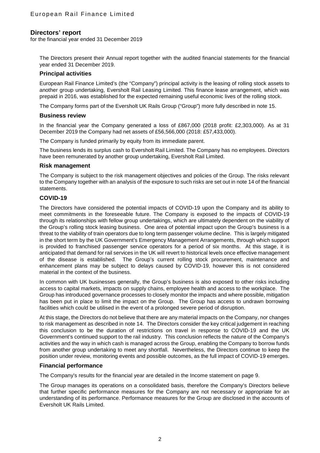# **Directors' report**

for the financial year ended 31 December 2019

The Directors present their Annual report together with the audited financial statements for the financial year ended 31 December 2019.

# **Principal activities**

European Rail Finance Limited's (the "Company") principal activity is the leasing of rolling stock assets to another group undertaking, Eversholt Rail Leasing Limited. This finance lease arrangement, which was prepaid in 2016, was established for the expected remaining useful economic lives of the rolling stock.

The Company forms part of the Eversholt UK Rails Group ("Group") more fully described in note 15.

#### **Business review**

In the financial year the Company generated a loss of £867,000 (2018 profit: £2,303,000). As at 31 December 2019 the Company had net assets of £56,566,000 (2018: £57,433,000).

The Company is funded primarily by equity from its immediate parent.

The business lends its surplus cash to Eversholt Rail Limited. The Company has no employees. Directors have been remunerated by another group undertaking, Eversholt Rail Limited.

## **Risk management**

The Company is subject to the risk management objectives and policies of the Group. The risks relevant to the Company together with an analysis of the exposure to such risks are set out in note 14 of the financial statements.

## **COVID-19**

The Directors have considered the potential impacts of COVID-19 upon the Company and its ability to meet commitments in the foreseeable future. The Company is exposed to the impacts of COVID-19 through its relationships with fellow group undertakings, which are ultimately dependent on the viability of the Group's rolling stock leasing business. One area of potential impact upon the Group's business is a threat to the viability of train operators due to long term passenger volume decline. This is largely mitigated in the short term by the UK Government's Emergency Management Arrangements, through which support is provided to franchised passenger service operators for a period of six months. At this stage, it is anticipated that demand for rail services in the UK will revert to historical levels once effective management of the disease is established. The Group's current rolling stock procurement, maintenance and enhancement plans may be subject to delays caused by COVID-19, however this is not considered material in the context of the business.

In common with UK businesses generally, the Group's business is also exposed to other risks including access to capital markets, impacts on supply chains, employee health and access to the workplace. The Group has introduced governance processes to closely monitor the impacts and where possible, mitigation has been put in place to limit the impact on the Group. The Group has access to undrawn borrowing facilities which could be utilised in the event of a prolonged severe period of disruption.

At this stage, the Directors do not believe that there are any material impacts on the Company, nor changes to risk management as described in note 14. The Directors consider the key critical judgement in reaching this conclusion to be the duration of restrictions on travel in response to COVID-19 and the UK Government's continued support to the rail industry. This conclusion reflects the nature of the Company's activities and the way in which cash is managed across the Group, enabling the Company to borrow funds from another group undertaking to meet any shortfall. Nevertheless, the Directors continue to keep the position under review, monitoring events and possible outcomes, as the full impact of COVID-19 emerges.

# **Financial performance**

The Company's results for the financial year are detailed in the Income statement on page 9.

The Group manages its operations on a consolidated basis, therefore the Company's Directors believe that further specific performance measures for the Company are not necessary or appropriate for an understanding of its performance. Performance measures for the Group are disclosed in the accounts of Eversholt UK Rails Limited.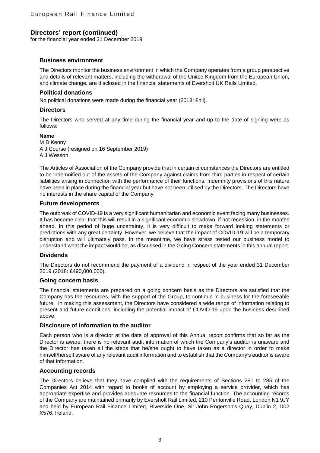# **Directors' report (continued)**

for the financial year ended 31 December 2019

# **Business environment**

The Directors monitor the business environment in which the Company operates from a group perspective and details of relevant matters, including the withdrawal of the United Kingdom from the European Union, and climate change, are disclosed in the financial statements of Eversholt UK Rails Limited.

## **Political donations**

No political donations were made during the financial year (2018: £nil).

# **Directors**

The Directors who served at any time during the financial year and up to the date of signing were as follows:

## **Name**

M B Kenny A J Course (resigned on 16 September 2019) A J Wesson

The Articles of Association of the Company provide that in certain circumstances the Directors are entitled to be indemnified out of the assets of the Company against claims from third parties in respect of certain liabilities arising in connection with the performance of their functions. Indemnity provisions of this nature have been in place during the financial year but have not been utilised by the Directors. The Directors have no interests in the share capital of the Company.

## **Future developments**

The outbreak of COVID-19 is a very significant humanitarian and economic event facing many businesses. It has become clear that this will result in a significant economic slowdown, if not recession, in the months ahead. In this period of huge uncertainty, it is very difficult to make forward looking statements or predictions with any great certainty. However, we believe that the impact of COVID-19 will be a temporary disruption and will ultimately pass. In the meantime, we have stress tested our business model to understand what the impact would be, as discussed in the Going Concern statements in this annual report.

# **Dividends**

The Directors do not recommend the payment of a dividend in respect of the year ended 31 December 2019 (2018: £490,000,000).

#### **Going concern basis**

The financial statements are prepared on a going concern basis as the Directors are satisfied that the Company has the resources, with the support of the Group, to continue in business for the foreseeable future. In making this assessment, the Directors have considered a wide range of information relating to present and future conditions, including the potential impact of COVID-19 upon the business described above.

# **Disclosure of information to the auditor**

Each person who is a director at the date of approval of this Annual report confirms that so far as the Director is aware, there is no relevant audit information of which the Company's auditor is unaware and the Director has taken all the steps that he/she ought to have taken as a director in order to make himself/herself aware of any relevant audit information and to establish that the Company's auditor is aware of that information.

# **Accounting records**

The Directors believe that they have complied with the requirements of Sections 281 to 285 of the Companies Act 2014 with regard to books of account by employing a service provider, which has appropriate expertise and provides adequate resources to the financial function. The accounting records of the Company are maintained primarily by Eversholt Rail Limited, 210 Pentonville Road, London N1 9JY and held by European Rail Finance Limited, Riverside One, Sir John Rogerson's Quay, Dublin 2, D02 X576, Ireland.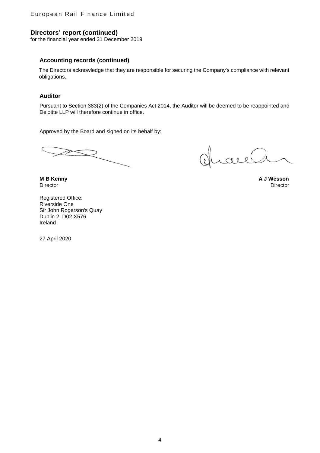# **Directors' report (continued)**

for the financial year ended 31 December 2019

## **Accounting records (continued)**

The Directors acknowledge that they are responsible for securing the Company's compliance with relevant obligations.

#### **Auditor**

Pursuant to Section 383(2) of the Companies Act 2014, the Auditor will be deemed to be reappointed and Deloitte LLP will therefore continue in office.

Approved by the Board and signed on its behalf by:

Juan

**M B Kenny A J Wesson** 

**Director** Director **Director Director Director Director Director Director Director Director Director** 

Registered Office: Riverside One Sir John Rogerson's Quay Dublin 2, D02 X576 Ireland

27 April 2020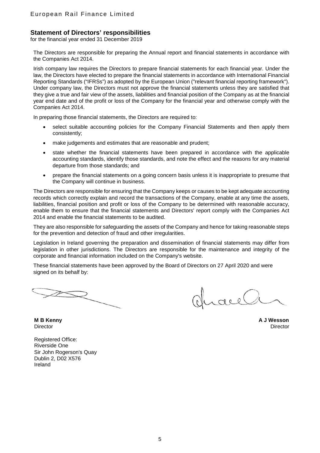# **Statement of Directors' responsibilities**

for the financial year ended 31 December 2019

The Directors are responsible for preparing the Annual report and financial statements in accordance with the Companies Act 2014.

Irish company law requires the Directors to prepare financial statements for each financial year. Under the law, the Directors have elected to prepare the financial statements in accordance with International Financial Reporting Standards ("IFRSs") as adopted by the European Union ("relevant financial reporting framework"). Under company law, the Directors must not approve the financial statements unless they are satisfied that they give a true and fair view of the assets, liabilities and financial position of the Company as at the financial year end date and of the profit or loss of the Company for the financial year and otherwise comply with the Companies Act 2014.

In preparing those financial statements, the Directors are required to:

- select suitable accounting policies for the Company Financial Statements and then apply them consistently;
- make judgements and estimates that are reasonable and prudent;
- state whether the financial statements have been prepared in accordance with the applicable accounting standards, identify those standards, and note the effect and the reasons for any material departure from those standards; and
- prepare the financial statements on a going concern basis unless it is inappropriate to presume that the Company will continue in business.

The Directors are responsible for ensuring that the Company keeps or causes to be kept adequate accounting records which correctly explain and record the transactions of the Company, enable at any time the assets, liabilities, financial position and profit or loss of the Company to be determined with reasonable accuracy, enable them to ensure that the financial statements and Directors' report comply with the Companies Act 2014 and enable the financial statements to be audited.

They are also responsible for safeguarding the assets of the Company and hence for taking reasonable steps for the prevention and detection of fraud and other irregularities.

Legislation in Ireland governing the preparation and dissemination of financial statements may differ from legislation in other jurisdictions. The Directors are responsible for the maintenance and integrity of the corporate and financial information included on the Company's website.

These financial statements have been approved by the Board of Directors on 27 April 2020 and were signed on its behalf by:

marco

**M B Kenny A J Wesson Director** Director **Director Director Director Director Director Director Director Director Director** 

Registered Office:

Riverside One Sir John Rogerson's Quay Dublin 2, D02 X576 Ireland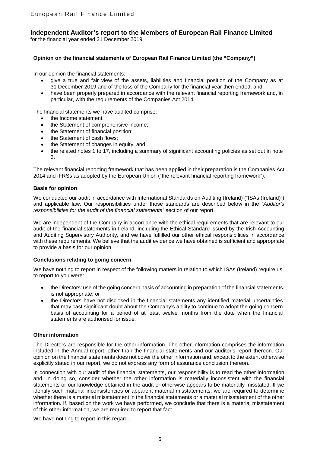# **Independent Auditor's report to the Members of European Rail Finance Limited**

for the financial year ended 31 December 2019

# **Opinion on the financial statements of European Rail Finance Limited (the "Company")**

In our opinion the financial statements:

- give a true and fair view of the assets, liabilities and financial position of the Company as at 31 December 2019 and of the loss of the Company for the financial year then ended; and
- have been properly prepared in accordance with the relevant financial reporting framework and, in particular, with the requirements of the Companies Act 2014.

The financial statements we have audited comprise:

- the Income statement:
- the Statement of comprehensive income;
- the Statement of financial position;
- the Statement of cash flows;
- the Statement of changes in equity; and
- the related notes 1 to 17, including a summary of significant accounting policies as set out in note 3.

The relevant financial reporting framework that has been applied in their preparation is the Companies Act 2014 and IFRSs as adopted by the European Union ("the relevant financial reporting framework").

## **Basis for opinion**

We conducted our audit in accordance with International Standards on Auditing (Ireland) ("ISAs (Ireland)") and applicable law. Our responsibilities under those standards are described below in the *"Auditor's responsibilities for the audit of the financial statements"* section of our report.

We are independent of the Company in accordance with the ethical requirements that are relevant to our audit of the financial statements in Ireland, including the Ethical Standard issued by the Irish Accounting and Auditing Supervisory Authority, and we have fulfilled our other ethical responsibilities in accordance with these requirements. We believe that the audit evidence we have obtained is sufficient and appropriate to provide a basis for our opinion.

## **Conclusions relating to going concern**

We have nothing to report in respect of the following matters in relation to which ISAs (Ireland) require us to report to you were:

- the Directors' use of the going concern basis of accounting in preparation of the financial statements is not appropriate; or
- the Directors have not disclosed in the financial statements any identified material uncertainties that may cast significant doubt about the Company's ability to continue to adopt the going concern basis of accounting for a period of at least twelve months from the date when the financial statements are authorised for issue.

# **Other information**

The Directors are responsible for the other information. The other information comprises the information included in the Annual report, other than the financial statements and our auditor's report thereon. Our opinion on the financial statements does not cover the other information and, except to the extent otherwise explicitly stated in our report, we do not express any form of assurance conclusion thereon.

In connection with our audit of the financial statements, our responsibility is to read the other information and, in doing so, consider whether the other information is materially inconsistent with the financial statements or our knowledge obtained in the audit or otherwise appears to be materially misstated. If we identify such material inconsistencies or apparent material misstatements, we are required to determine whether there is a material misstatement in the financial statements or a material misstatement of the other information. If, based on the work we have performed, we conclude that there is a material misstatement of this other information, we are required to report that fact.

We have nothing to report in this regard.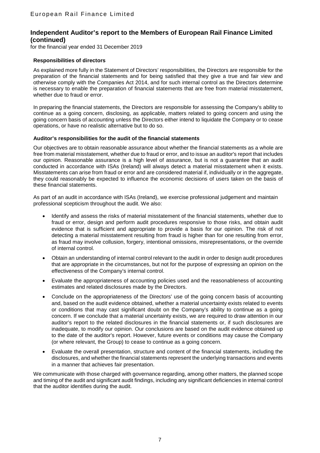# **Independent Auditor's report to the Members of European Rail Finance Limited (continued)**

for the financial year ended 31 December 2019

# **Responsibilities of directors**

As explained more fully in the Statement of Directors' responsibilities, the Directors are responsible for the preparation of the financial statements and for being satisfied that they give a true and fair view and otherwise comply with the Companies Act 2014, and for such internal control as the Directors determine is necessary to enable the preparation of financial statements that are free from material misstatement, whether due to fraud or error.

In preparing the financial statements, the Directors are responsible for assessing the Company's ability to continue as a going concern, disclosing, as applicable, matters related to going concern and using the going concern basis of accounting unless the Directors either intend to liquidate the Company or to cease operations, or have no realistic alternative but to do so.

## **Auditor's responsibilities for the audit of the financial statements**

Our objectives are to obtain reasonable assurance about whether the financial statements as a whole are free from material misstatement, whether due to fraud or error, and to issue an auditor's report that includes our opinion. Reasonable assurance is a high level of assurance, but is not a guarantee that an audit conducted in accordance with ISAs (Ireland) will always detect a material misstatement when it exists. Misstatements can arise from fraud or error and are considered material if, individually or in the aggregate, they could reasonably be expected to influence the economic decisions of users taken on the basis of these financial statements.

As part of an audit in accordance with ISAs (Ireland), we exercise professional judgement and maintain professional scepticism throughout the audit. We also:

- Identify and assess the risks of material misstatement of the financial statements, whether due to fraud or error, design and perform audit procedures responsive to those risks, and obtain audit evidence that is sufficient and appropriate to provide a basis for our opinion. The risk of not detecting a material misstatement resulting from fraud is higher than for one resulting from error, as fraud may involve collusion, forgery, intentional omissions, misrepresentations, or the override of internal control.
- Obtain an understanding of internal control relevant to the audit in order to design audit procedures that are appropriate in the circumstances, but not for the purpose of expressing an opinion on the effectiveness of the Company's internal control.
- Evaluate the appropriateness of accounting policies used and the reasonableness of accounting estimates and related disclosures made by the Directors.
- Conclude on the appropriateness of the Directors' use of the going concern basis of accounting and, based on the audit evidence obtained, whether a material uncertainty exists related to events or conditions that may cast significant doubt on the Company's ability to continue as a going concern. If we conclude that a material uncertainty exists, we are required to draw attention in our auditor's report to the related disclosures in the financial statements or, if such disclosures are inadequate, to modify our opinion. Our conclusions are based on the audit evidence obtained up to the date of the auditor's report. However, future events or conditions may cause the Company (or where relevant, the Group) to cease to continue as a going concern.
- Evaluate the overall presentation, structure and content of the financial statements, including the disclosures, and whether the financial statements represent the underlying transactions and events in a manner that achieves fair presentation.

We communicate with those charged with governance regarding, among other matters, the planned scope and timing of the audit and significant audit findings, including any significant deficiencies in internal control that the auditor identifies during the audit.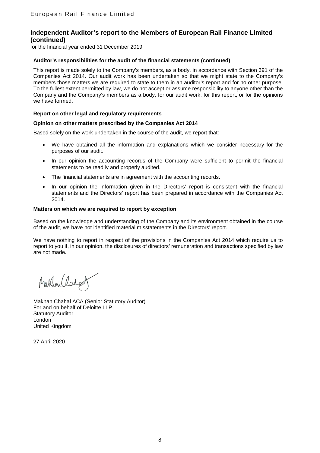# **Independent Auditor's report to the Members of European Rail Finance Limited (continued)**

for the financial year ended 31 December 2019

#### **Auditor's responsibilities for the audit of the financial statements (continued)**

This report is made solely to the Company's members, as a body, in accordance with Section 391 of the Companies Act 2014. Our audit work has been undertaken so that we might state to the Company's members those matters we are required to state to them in an auditor's report and for no other purpose. To the fullest extent permitted by law, we do not accept or assume responsibility to anyone other than the Company and the Company's members as a body, for our audit work, for this report, or for the opinions we have formed.

#### **Report on other legal and regulatory requirements**

## **Opinion on other matters prescribed by the Companies Act 2014**

Based solely on the work undertaken in the course of the audit, we report that:

- We have obtained all the information and explanations which we consider necessary for the purposes of our audit.
- In our opinion the accounting records of the Company were sufficient to permit the financial statements to be readily and properly audited.
- The financial statements are in agreement with the accounting records.
- In our opinion the information given in the Directors' report is consistent with the financial statements and the Directors' report has been prepared in accordance with the Companies Act 2014.

# **Matters on which we are required to report by exception**

Based on the knowledge and understanding of the Company and its environment obtained in the course of the audit, we have not identified material misstatements in the Directors' report.

We have nothing to report in respect of the provisions in the Companies Act 2014 which require us to report to you if, in our opinion, the disclosures of directors' remuneration and transactions specified by law are not made.

MakharClarge

Makhan Chahal ACA (Senior Statutory Auditor) For and on behalf of Deloitte LLP Statutory Auditor London United Kingdom

27 April 2020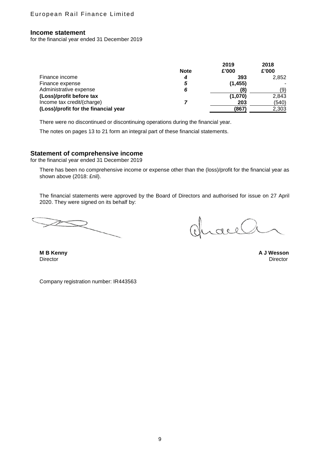## **Income statement**

for the financial year ended 31 December 2019

|                                      | <b>Note</b> | 2019<br>£'000 | 2018<br>£'000 |
|--------------------------------------|-------------|---------------|---------------|
| Finance income                       | 4           | 393           | 2,852         |
| Finance expense                      | 5           | (1, 455)      |               |
| Administrative expense               | 6           | (8)           | (9)           |
| (Loss)/profit before tax             |             | (1,070)       | 2,843         |
| Income tax credit/(charge)           |             | 203           | (540)         |
| (Loss)/profit for the financial year |             | (867)         | 2,303         |

There were no discontinued or discontinuing operations during the financial year.

The notes on pages 13 to 21 form an integral part of these financial statements.

# **Statement of comprehensive income**

for the financial year ended 31 December 2019

There has been no comprehensive income or expense other than the (loss)/profit for the financial year as shown above (2018: £nil).

The financial statements were approved by the Board of Directors and authorised for issue on 27 April 2020. They were signed on its behalf by:

Charl

**M B Kenny A J Wesson** 

Director Director

Company registration number: IR443563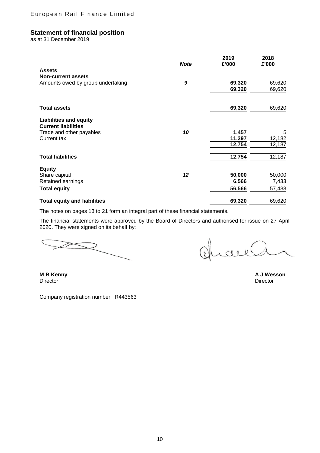# **Statement of financial position**

as at 31 December 2019

|                                                             | <b>Note</b>      | 2019<br>£'000 | 2018<br>£'000 |
|-------------------------------------------------------------|------------------|---------------|---------------|
| <b>Assets</b>                                               |                  |               |               |
| <b>Non-current assets</b>                                   |                  |               |               |
| Amounts owed by group undertaking                           | $\boldsymbol{g}$ | 69,320        | 69,620        |
|                                                             |                  | 69,320        | 69,620        |
| <b>Total assets</b>                                         |                  | 69,320        | 69,620        |
|                                                             |                  |               |               |
| <b>Liabilities and equity</b><br><b>Current liabilities</b> |                  |               |               |
| Trade and other payables                                    | 10               | 1,457         | 5             |
| Current tax                                                 |                  | 11,297        | 12,182        |
|                                                             |                  | 12,754        | 12,187        |
| <b>Total liabilities</b>                                    |                  | 12,754        | 12,187        |
| <b>Equity</b>                                               |                  |               |               |
| Share capital                                               | 12               | 50,000        | 50,000        |
| Retained earnings                                           |                  | 6,566         | 7,433         |
| <b>Total equity</b>                                         |                  | 56,566        | 57,433        |
| <b>Total equity and liabilities</b>                         |                  | 69,320        | 69,620        |

The notes on pages 13 to 21 form an integral part of these financial statements.

The financial statements were approved by the Board of Directors and authorised for issue on 27 April 2020. They were signed on its behalf by:

nacel

**M B Kenny A J Wesson**<br>Director **A J Wesson** Director Director

Company registration number: IR443563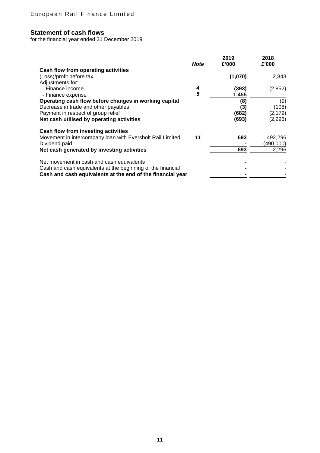# **Statement of cash flows**

for the financial year ended 31 December 2019

|                                                             | <b>Note</b> | 2019<br>£'000 | 2018<br>£'000 |
|-------------------------------------------------------------|-------------|---------------|---------------|
| Cash flow from operating activities                         |             |               |               |
| (Loss)/profit before tax                                    |             | (1,070)       | 2,843         |
| Adjustments for:                                            |             |               |               |
| - Finance income                                            | 4           | (393)         | (2,852)       |
| - Finance expense                                           | 5           | 1,455         |               |
| Operating cash flow before changes in working capital       |             | (8)           | (9)           |
| Decrease in trade and other payables                        |             | (3)           | (108)         |
| Payment in respect of group relief                          |             | (682)         | (2, 179)      |
| Net cash utilised by operating activities                   |             | (693)         | (2,296)       |
| Cash flow from investing activities                         |             |               |               |
| Movement in intercompany loan with Eversholt Rail Limited   | 11          | 693           | 492,296       |
| Dividend paid                                               |             |               | (490,000)     |
| Net cash generated by investing activities                  |             | 693           | 2,296         |
| Net movement in cash and cash equivalents                   |             |               |               |
| Cash and cash equivalents at the beginning of the financial |             |               |               |
| Cash and cash equivalents at the end of the financial year  |             |               |               |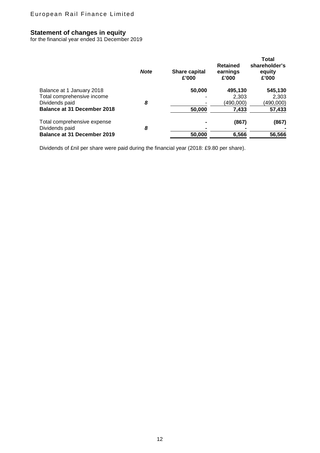# **Statement of changes in equity**

for the financial year ended 31 December 2019

|                                    | <b>Note</b> | <b>Share capital</b><br>£'000 | <b>Retained</b><br>earnings<br>£'000 | <b>Total</b><br>shareholder's<br>equity<br>£'000 |
|------------------------------------|-------------|-------------------------------|--------------------------------------|--------------------------------------------------|
| Balance at 1 January 2018          |             | 50,000                        | 495,130                              | 545,130                                          |
| Total comprehensive income         |             |                               | 2,303                                | 2,303                                            |
| Dividends paid                     | 8           |                               | (490,000)                            | (490,000)                                        |
| <b>Balance at 31 December 2018</b> |             | 50,000                        | 7,433                                | 57,433                                           |
| Total comprehensive expense        |             |                               | (867)                                | (867)                                            |
| Dividends paid                     | 8           |                               |                                      |                                                  |
| <b>Balance at 31 December 2019</b> |             | 50,000                        | 6,566                                | 56,566                                           |

Dividends of £nil per share were paid during the financial year (2018: £9.80 per share).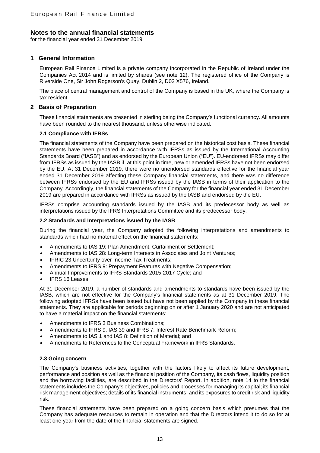# **Notes to the annual financial statements**

for the financial year ended 31 December 2019

# **1 General Information**

European Rail Finance Limited is a private company incorporated in the Republic of Ireland under the Companies Act 2014 and is limited by shares (see note 12). The registered office of the Company is Riverside One, Sir John Rogerson's Quay, Dublin 2, D02 X576, Ireland.

The place of central management and control of the Company is based in the UK, where the Company is tax resident.

## **2 Basis of Preparation**

These financial statements are presented in sterling being the Company's functional currency. All amounts have been rounded to the nearest thousand, unless otherwise indicated.

## **2.1 Compliance with IFRSs**

The financial statements of the Company have been prepared on the historical cost basis. These financial statements have been prepared in accordance with IFRSs as issued by the International Accounting Standards Board ("IASB") and as endorsed by the European Union ("EU"). EU-endorsed IFRSs may differ from IFRSs as issued by the IASB if, at this point in time, new or amended IFRSs have not been endorsed by the EU. At 31 December 2019, there were no unendorsed standards effective for the financial year ended 31 December 2019 affecting these Company financial statements, and there was no difference between IFRSs endorsed by the EU and IFRSs issued by the IASB in terms of their application to the Company. Accordingly, the financial statements of the Company for the financial year ended 31 December 2019 are prepared in accordance with IFRSs as issued by the IASB and endorsed by the EU.

IFRSs comprise accounting standards issued by the IASB and its predecessor body as well as interpretations issued by the IFRS Interpretations Committee and its predecessor body.

## **2.2 Standards and Interpretations issued by the IASB**

During the financial year, the Company adopted the following interpretations and amendments to standards which had no material effect on the financial statements:

- Amendments to IAS 19: Plan Amendment, Curtailment or Settlement;
- Amendments to IAS 28: Long-term Interests in Associates and Joint Ventures;
- IFRIC 23 Uncertainty over Income Tax Treatments;
- Amendments to IFRS 9: Prepayment Features with Negative Compensation;
- Annual Improvements to IFRS Standards 2015-2017 Cycle; and
- IFRS 16 Leases.

At 31 December 2019, a number of standards and amendments to standards have been issued by the IASB, which are not effective for the Company's financial statements as at 31 December 2019. The following adopted IFRSs have been issued but have not been applied by the Company in these financial statements. They are applicable for periods beginning on or after 1 January 2020 and are not anticipated to have a material impact on the financial statements:

- Amendments to IFRS 3 Business Combinations:
- Amendments to IFRS 9, IAS 39 and IFRS 7: Interest Rate Benchmark Reform;
- Amendments to IAS 1 and IAS 8: Definition of Material; and
- Amendments to References to the Conceptual Framework in IFRS Standards.

#### **2.3 Going concern**

The Company's business activities, together with the factors likely to affect its future development, performance and position as well as the financial position of the Company, its cash flows, liquidity position and the borrowing facilities, are described in the Directors' Report. In addition, note 14 to the financial statements includes the Company's objectives, policies and processes for managing its capital; its financial risk management objectives; details of its financial instruments; and its exposures to credit risk and liquidity risk.

These financial statements have been prepared on a going concern basis which presumes that the Company has adequate resources to remain in operation and that the Directors intend it to do so for at least one year from the date of the financial statements are signed.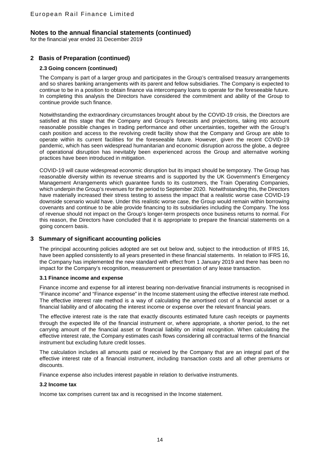for the financial year ended 31 December 2019

# **2 Basis of Preparation (continued)**

## **2.3 Going concern (continued)**

The Company is part of a larger group and participates in the Group's centralised treasury arrangements and so shares banking arrangements with its parent and fellow subsidiaries. The Company is expected to continue to be in a position to obtain finance via intercompany loans to operate for the foreseeable future. In completing this analysis the Directors have considered the commitment and ability of the Group to continue provide such finance.

Notwithstanding the extraordinary circumstances brought about by the COVID-19 crisis, the Directors are satisfied at this stage that the Company and Group's forecasts and projections, taking into account reasonable possible changes in trading performance and other uncertainties, together with the Group's cash position and access to the revolving credit facility show that the Company and Group are able to operate within its current facilities for the foreseeable future. However, given the recent COVID-19 pandemic, which has seen widespread humanitarian and economic disruption across the globe, a degree of operational disruption has inevitably been experienced across the Group and alternative working practices have been introduced in mitigation.

COVID-19 will cause widespread economic disruption but its impact should be temporary. The Group has reasonable diversity within its revenue streams and is supported by the UK Government's Emergency Management Arrangements which guarantee funds to its customers, the Train Operating Companies, which underpin the Group's revenues for the period to September 2020. Notwithstanding this, the Directors have materially increased their stress testing to assess the impact that a realistic worse case COVID-19 downside scenario would have. Under this realistic worse case, the Group would remain within borrowing covenants and continue to be able provide financing to its subsidiaries including the Company. The loss of revenue should not impact on the Group's longer-term prospects once business returns to normal. For this reason, the Directors have concluded that it is appropriate to prepare the financial statements on a going concern basis.

# **3 Summary of significant accounting policies**

The principal accounting policies adopted are set out below and, subject to the introduction of IFRS 16, have been applied consistently to all years presented in these financial statements. In relation to IFRS 16, the Company has implemented the new standard with effect from 1 January 2019 and there has been no impact for the Company's recognition, measurement or presentation of any lease transaction.

#### **3.1 Finance income and expense**

Finance income and expense for all interest bearing non-derivative financial instruments is recognised in "Finance income" and "Finance expense" in the Income statement using the effective interest rate method. The effective interest rate method is a way of calculating the amortised cost of a financial asset or a financial liability and of allocating the interest income or expense over the relevant financial years.

The effective interest rate is the rate that exactly discounts estimated future cash receipts or payments through the expected life of the financial instrument or, where appropriate, a shorter period, to the net carrying amount of the financial asset or financial liability on initial recognition. When calculating the effective interest rate, the Company estimates cash flows considering all contractual terms of the financial instrument but excluding future credit losses.

The calculation includes all amounts paid or received by the Company that are an integral part of the effective interest rate of a financial instrument, including transaction costs and all other premiums or discounts.

Finance expense also includes interest payable in relation to derivative instruments.

#### **3.2 Income tax**

Income tax comprises current tax and is recognised in the Income statement.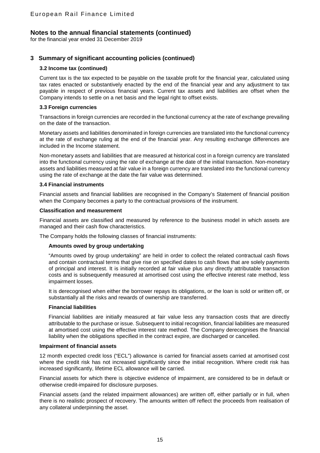for the financial year ended 31 December 2019

# **3 Summary of significant accounting policies (continued)**

## **3.2 Income tax (continued)**

Current tax is the tax expected to be payable on the taxable profit for the financial year, calculated using tax rates enacted or substantively enacted by the end of the financial year and any adjustment to tax payable in respect of previous financial years. Current tax assets and liabilities are offset when the Company intends to settle on a net basis and the legal right to offset exists.

#### **3.3 Foreign currencies**

Transactions in foreign currencies are recorded in the functional currency at the rate of exchange prevailing on the date of the transaction.

Monetary assets and liabilities denominated in foreign currencies are translated into the functional currency at the rate of exchange ruling at the end of the financial year. Any resulting exchange differences are included in the Income statement.

Non-monetary assets and liabilities that are measured at historical cost in a foreign currency are translated into the functional currency using the rate of exchange at the date of the initial transaction. Non-monetary assets and liabilities measured at fair value in a foreign currency are translated into the functional currency using the rate of exchange at the date the fair value was determined.

## **3.4 Financial instruments**

Financial assets and financial liabilities are recognised in the Company's Statement of financial position when the Company becomes a party to the contractual provisions of the instrument.

#### **Classification and measurement**

Financial assets are classified and measured by reference to the business model in which assets are managed and their cash flow characteristics.

The Company holds the following classes of financial instruments:

#### **Amounts owed by group undertaking**

"Amounts owed by group undertaking" are held in order to collect the related contractual cash flows and contain contractual terms that give rise on specified dates to cash flows that are solely payments of principal and interest. It is initially recorded at fair value plus any directly attributable transaction costs and is subsequently measured at amortised cost using the effective interest rate method, less impairment losses.

It is derecognised when either the borrower repays its obligations, or the loan is sold or written off, or substantially all the risks and rewards of ownership are transferred.

#### **Financial liabilities**

Financial liabilities are initially measured at fair value less any transaction costs that are directly attributable to the purchase or issue. Subsequent to initial recognition, financial liabilities are measured at amortised cost using the effective interest rate method. The Company derecognises the financial liability when the obligations specified in the contract expire, are discharged or cancelled.

#### **Impairment of financial assets**

12 month expected credit loss ("ECL") allowance is carried for financial assets carried at amortised cost where the credit risk has not increased significantly since the initial recognition. Where credit risk has increased significantly, lifetime ECL allowance will be carried.

Financial assets for which there is objective evidence of impairment, are considered to be in default or otherwise credit-impaired for disclosure purposes.

Financial assets (and the related impairment allowances) are written off, either partially or in full, when there is no realistic prospect of recovery. The amounts written off reflect the proceeds from realisation of any collateral underpinning the asset.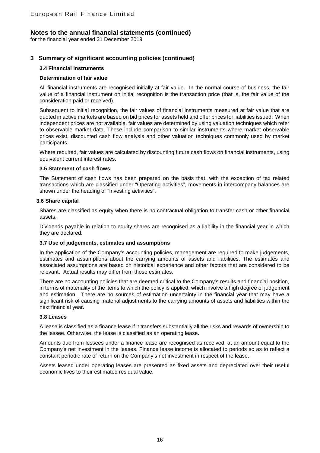for the financial year ended 31 December 2019

# **3 Summary of significant accounting policies (continued)**

#### **3.4 Financial instruments**

#### **Determination of fair value**

All financial instruments are recognised initially at fair value. In the normal course of business, the fair value of a financial instrument on initial recognition is the transaction price (that is, the fair value of the consideration paid or received).

Subsequent to initial recognition, the fair values of financial instruments measured at fair value that are quoted in active markets are based on bid prices for assets held and offer prices for liabilities issued. When independent prices are not available, fair values are determined by using valuation techniques which refer to observable market data. These include comparison to similar instruments where market observable prices exist, discounted cash flow analysis and other valuation techniques commonly used by market participants.

Where required, fair values are calculated by discounting future cash flows on financial instruments, using equivalent current interest rates.

#### **3.5 Statement of cash flows**

The Statement of cash flows has been prepared on the basis that, with the exception of tax related transactions which are classified under "Operating activities", movements in intercompany balances are shown under the heading of "Investing activities".

#### **3.6 Share capital**

Shares are classified as equity when there is no contractual obligation to transfer cash or other financial assets.

Dividends payable in relation to equity shares are recognised as a liability in the financial year in which they are declared.

#### **3.7 Use of judgements, estimates and assumptions**

In the application of the Company's accounting policies, management are required to make judgements, estimates and assumptions about the carrying amounts of assets and liabilities. The estimates and associated assumptions are based on historical experience and other factors that are considered to be relevant. Actual results may differ from those estimates.

There are no accounting policies that are deemed critical to the Company's results and financial position, in terms of materiality of the items to which the policy is applied, which involve a high degree of judgement and estimation. There are no sources of estimation uncertainty in the financial year that may have a significant risk of causing material adjustments to the carrying amounts of assets and liabilities within the next financial year.

#### **3.8 Leases**

A lease is classified as a finance lease if it transfers substantially all the risks and rewards of ownership to the lessee. Otherwise, the lease is classified as an operating lease.

Amounts due from lessees under a finance lease are recognised as received, at an amount equal to the Company's net investment in the leases. Finance lease income is allocated to periods so as to reflect a constant periodic rate of return on the Company's net investment in respect of the lease.

Assets leased under operating leases are presented as fixed assets and depreciated over their useful economic lives to their estimated residual value.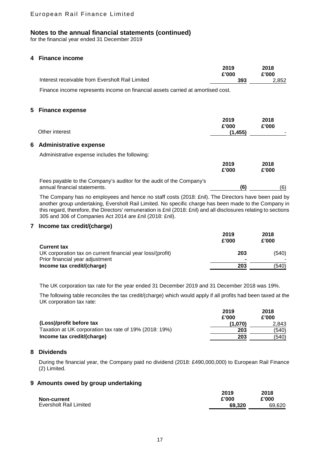# **Notes to the annual financial statements (continued)**

for the financial year ended 31 December 2019

# **4 Finance income**

|                                                                                                      | 2019<br>£'000     | 2018<br>£'000 |
|------------------------------------------------------------------------------------------------------|-------------------|---------------|
| Interest receivable from Eversholt Rail Limited                                                      | 393               | 2,852         |
| Finance income represents income on financial assets carried at amortised cost.                      |                   |               |
|                                                                                                      |                   |               |
| 5 Finance expense                                                                                    |                   |               |
|                                                                                                      | 2019              | 2018          |
| Other interest                                                                                       | £'000<br>(1, 455) | £'000         |
| 6 Administrative expense                                                                             |                   |               |
| Administrative expense includes the following:                                                       |                   |               |
|                                                                                                      | 2019<br>£'000     | 2018<br>£'000 |
| Fees payable to the Company's auditor for the audit of the Company's<br>annual financial statements. | (6)               | (6)           |

The Company has no employees and hence no staff costs (2018: £nil). The Directors have been paid by another group undertaking, Eversholt Rail Limited. No specific charge has been made to the Company in this regard, therefore, the Directors' remuneration is £nil (2018: £nil) and all disclosures relating to sections 305 and 306 of Companies Act 2014 are £nil (2018: £nil).

# **7 Income tax credit/(charge)**

|                                                                                                                     | 2019<br>£'000                   | 2018<br>£'000 |
|---------------------------------------------------------------------------------------------------------------------|---------------------------------|---------------|
| <b>Current tax</b><br>UK corporation tax on current financial year loss/(profit)<br>Prior financial year adjustment | 203<br>$\overline{\phantom{a}}$ | (540)         |
| Income tax credit/(charge)                                                                                          | 203                             | (540)         |

The UK corporation tax rate for the year ended 31 December 2019 and 31 December 2018 was 19%.

The following table reconciles the tax credit/(charge) which would apply if all profits had been taxed at the UK corporation tax rate:

|                                                        | 2019    | 2018  |
|--------------------------------------------------------|---------|-------|
|                                                        | £'000   | £'000 |
| (Loss)/profit before tax                               | (1.070) | 2.843 |
| Taxation at UK corporation tax rate of 19% (2018: 19%) | 203     | (540) |
| Income tax credit/(charge)                             | 203     | (540) |

# **8 Dividends**

During the financial year, the Company paid no dividend (2018: £490,000,000) to European Rail Finance (2) Limited.

## **9 Amounts owed by group undertaking**

|                        | 2019   | 2018   |
|------------------------|--------|--------|
| <b>Non-current</b>     | £'000  | £'000  |
| Eversholt Rail Limited | 69.320 | 69,620 |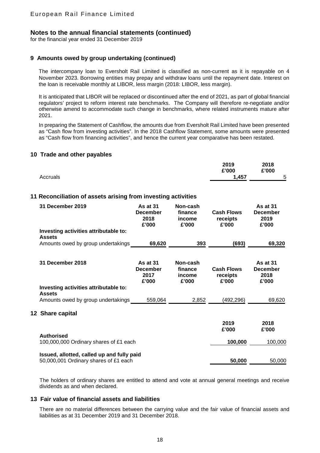for the financial year ended 31 December 2019

# **9 Amounts owed by group undertaking (continued)**

The intercompany loan to Eversholt Rail Limited is classified as non-current as it is repayable on 4 November 2023. Borrowing entities may prepay and withdraw loans until the repayment date. Interest on the loan is receivable monthly at LIBOR, less margin (2018: LIBOR, less margin).

It is anticipated that LIBOR will be replaced or discontinued after the end of 2021, as part of global financial regulators' project to reform interest rate benchmarks. The Company will therefore re-negotiate and/or otherwise amend to accommodate such change in benchmarks, where related instruments mature after 2021.

In preparing the Statement of Cashflow, the amounts due from Eversholt Rail Limited have been presented as "Cash flow from investing activities". In the 2018 Cashflow Statement, some amounts were presented as "Cash flow from financing activities", and hence the current year comparative has been restated.

## **10 Trade and other payables**

|          | 2019  | 2018  |
|----------|-------|-------|
|          | £'000 | £'000 |
| Accruals | 1,457 | 5     |

# **11 Reconciliation of assets arising from investing activities**

| 31 December 2019                                                                    | <b>As at 31</b><br><b>December</b><br>2018<br>£'000 | Non-cash<br>finance<br>income<br>£'000 | <b>Cash Flows</b><br>receipts<br>£'000 | <b>As at 31</b><br><b>December</b><br>2019<br>£'000 |
|-------------------------------------------------------------------------------------|-----------------------------------------------------|----------------------------------------|----------------------------------------|-----------------------------------------------------|
| Investing activities attributable to:<br><b>Assets</b>                              |                                                     |                                        |                                        |                                                     |
| Amounts owed by group undertakings                                                  | 69,620                                              | 393                                    | (693)                                  | 69,320                                              |
| 31 December 2018                                                                    | <b>As at 31</b><br><b>December</b><br>2017<br>£'000 | Non-cash<br>finance<br>income<br>£'000 | <b>Cash Flows</b><br>receipts<br>£'000 | <b>As at 31</b><br><b>December</b><br>2018<br>£'000 |
| Investing activities attributable to:<br><b>Assets</b>                              |                                                     |                                        |                                        |                                                     |
| Amounts owed by group undertakings                                                  | 559,064                                             | 2,852                                  | (492,296)                              | 69,620                                              |
| 12 Share capital                                                                    |                                                     |                                        |                                        |                                                     |
|                                                                                     |                                                     |                                        | 2019<br>£'000                          | 2018<br>£'000                                       |
| <b>Authorised</b><br>100,000,000 Ordinary shares of £1 each                         |                                                     |                                        | 100,000                                | 100,000                                             |
| Issued, allotted, called up and fully paid<br>50,000,001 Ordinary shares of £1 each |                                                     |                                        | 50,000                                 | 50,000                                              |
|                                                                                     |                                                     |                                        |                                        |                                                     |

The holders of ordinary shares are entitled to attend and vote at annual general meetings and receive dividends as and when declared.

# **13 Fair value of financial assets and liabilities**

There are no material differences between the carrying value and the fair value of financial assets and liabilities as at 31 December 2019 and 31 December 2018.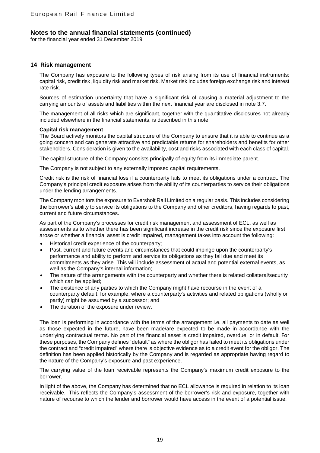for the financial year ended 31 December 2019

## **14 Risk management**

The Company has exposure to the following types of risk arising from its use of financial instruments: capital risk, credit risk, liquidity risk and market risk. Market risk includes foreign exchange risk and interest rate risk.

Sources of estimation uncertainty that have a significant risk of causing a material adjustment to the carrying amounts of assets and liabilities within the next financial year are disclosed in note 3.7.

The management of all risks which are significant, together with the quantitative disclosures not already included elsewhere in the financial statements, is described in this note.

#### **Capital risk management**

The Board actively monitors the capital structure of the Company to ensure that it is able to continue as a going concern and can generate attractive and predictable returns for shareholders and benefits for other stakeholders. Consideration is given to the availability, cost and risks associated with each class of capital.

The capital structure of the Company consists principally of equity from its immediate parent.

The Company is not subject to any externally imposed capital requirements.

Credit risk is the risk of financial loss if a counterparty fails to meet its obligations under a contract. The Company's principal credit exposure arises from the ability of its counterparties to service their obligations under the lending arrangements.

The Company monitors the exposure to Eversholt Rail Limited on a regular basis. This includes considering the borrower's ability to service its obligations to the Company and other creditors, having regards to past, current and future circumstances.

As part of the Company's processes for credit risk management and assessment of ECL, as well as assessments as to whether there has been significant increase in the credit risk since the exposure first arose or whether a financial asset is credit impaired, management takes into account the following:

- Historical credit experience of the counterparty;
- Past, current and future events and circumstances that could impinge upon the counterparty's performance and ability to perform and service its obligations as they fall due and meet its commitments as they arise. This will include assessment of actual and potential external events, as well as the Company's internal information;
- The nature of the arrangements with the counterparty and whether there is related collateral/security which can be applied;
- The existence of any parties to which the Company might have recourse in the event of a counterparty default, for example, where a counterparty's activities and related obligations (wholly or partly) might be assumed by a successor; and
- The duration of the exposure under review.

The loan is performing in accordance with the terms of the arrangement i.e. all payments to date as well as those expected in the future, have been made/are expected to be made in accordance with the underlying contractual terms. No part of the financial asset is credit impaired, overdue, or in default. For these purposes, the Company defines "default" as where the obligor has failed to meet its obligations under the contract and "credit impaired" where there is objective evidence as to a credit event for the obligor. The definition has been applied historically by the Company and is regarded as appropriate having regard to the nature of the Company's exposure and past experience.

The carrying value of the loan receivable represents the Company's maximum credit exposure to the borrower.

In light of the above, the Company has determined that no ECL allowance is required in relation to its loan receivable. This reflects the Company's assessment of the borrower's risk and exposure, together with nature of recourse to which the lender and borrower would have access in the event of a potential issue.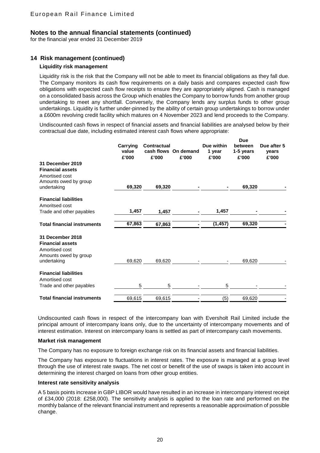for the financial year ended 31 December 2019

# **14 Risk management (continued)**

#### **Liquidity risk management**

Liquidity risk is the risk that the Company will not be able to meet its financial obligations as they fall due. The Company monitors its cash flow requirements on a daily basis and compares expected cash flow obligations with expected cash flow receipts to ensure they are appropriately aligned. Cash is managed on a consolidated basis across the Group which enables the Company to borrow funds from another group undertaking to meet any shortfall. Conversely, the Company lends any surplus funds to other group undertakings. Liquidity is further under-pinned by the ability of certain group undertakings to borrow under a £600m revolving credit facility which matures on 4 November 2023 and lend proceeds to the Company.

Undiscounted cash flows in respect of financial assets and financial liabilities are analysed below by their contractual due date, including estimated interest cash flows where appropriate:

**Due** 

|                                                                                        | Carrying<br>value<br>£'000 | <b>Contractual</b><br>£'000 | cash flows On demand<br>£'000 | Due within<br>1 year<br>£'000 | Duc<br>between<br>1-5 years<br>£'000 | Due after 5<br>vears<br>£'000 |
|----------------------------------------------------------------------------------------|----------------------------|-----------------------------|-------------------------------|-------------------------------|--------------------------------------|-------------------------------|
| 31 December 2019<br><b>Financial assets</b><br>Amortised cost                          |                            |                             |                               |                               |                                      |                               |
| Amounts owed by group<br>undertaking                                                   | 69,320                     | 69,320                      |                               |                               | 69,320                               |                               |
| <b>Financial liabilities</b><br>Amoritsed cost                                         |                            |                             |                               |                               |                                      |                               |
| Trade and other payables                                                               | 1,457                      | 1,457                       |                               | 1,457                         |                                      |                               |
| <b>Total financial instruments</b>                                                     | 67,863                     | 67,863                      |                               | (1, 457)                      | 69,320                               |                               |
| 31 December 2018<br><b>Financial assets</b><br>Amortised cost<br>Amounts owed by group |                            |                             |                               |                               |                                      |                               |
| undertaking                                                                            | 69,620                     | 69,620                      |                               |                               | 69,620                               |                               |
| <b>Financial liabilities</b><br>Amortised cost                                         |                            |                             |                               |                               |                                      |                               |
| Trade and other payables                                                               | 5                          | 5                           |                               | 5                             |                                      |                               |
| <b>Total financial instruments</b>                                                     | 69,615                     | 69,615                      |                               | (5)                           | 69,620                               |                               |

Undiscounted cash flows in respect of the intercompany loan with Eversholt Rail Limited include the principal amount of intercompany loans only, due to the uncertainty of intercompany movements and of interest estimation. Interest on intercompany loans is settled as part of intercompany cash movements.

#### **Market risk management**

The Company has no exposure to foreign exchange risk on its financial assets and financial liabilities.

The Company has exposure to fluctuations in interest rates. The exposure is managed at a group level through the use of interest rate swaps. The net cost or benefit of the use of swaps is taken into account in determining the interest charged on loans from other group entities.

#### **Interest rate sensitivity analysis**

A 5 basis points increase in GBP LIBOR would have resulted in an increase in intercompany interest receipt of £34,000 (2018: £258,000). The sensitivity analysis is applied to the loan rate and performed on the monthly balance of the relevant financial instrument and represents a reasonable approximation of possible change.